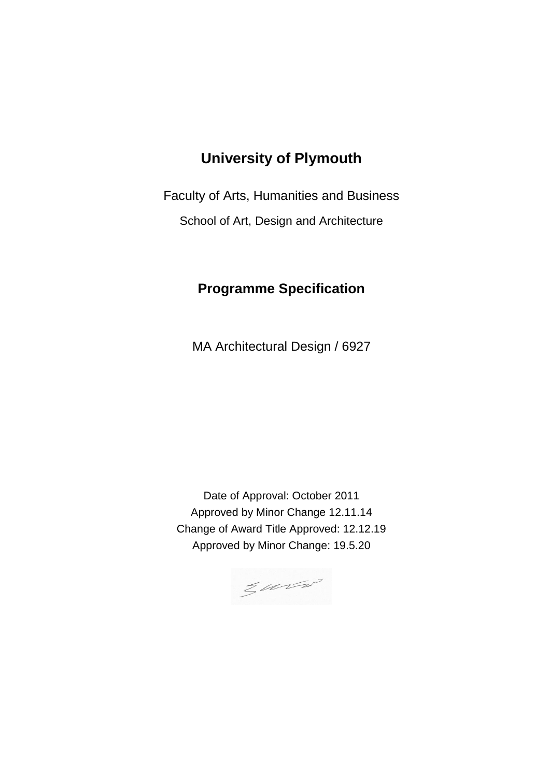# **University of Plymouth**

Faculty of Arts, Humanities and Business

School of Art, Design and Architecture

# **Programme Specification**

MA Architectural Design / 6927

Date of Approval: October 2011 Approved by Minor Change 12.11.14 Change of Award Title Approved: 12.12.19 Approved by Minor Change: 19.5.20

 $z$  until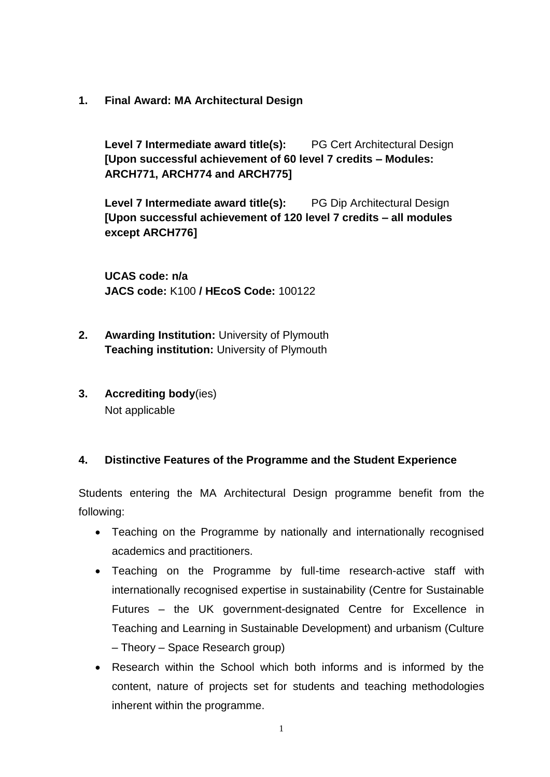**1. Final Award: MA Architectural Design**

**Level 7 Intermediate award title(s):** PG Cert Architectural Design **[Upon successful achievement of 60 level 7 credits – Modules: ARCH771, ARCH774 and ARCH775]**

**Level 7 Intermediate award title(s):** PG Dip Architectural Design **[Upon successful achievement of 120 level 7 credits – all modules except ARCH776]**

**UCAS code: n/a JACS code:** K100 **/ HEcoS Code:** 100122

- **2. Awarding Institution:** University of Plymouth **Teaching institution:** University of Plymouth
- **3. Accrediting body**(ies) Not applicable

#### **4. Distinctive Features of the Programme and the Student Experience**

Students entering the MA Architectural Design programme benefit from the following:

- Teaching on the Programme by nationally and internationally recognised academics and practitioners.
- Teaching on the Programme by full-time research-active staff with internationally recognised expertise in sustainability (Centre for Sustainable Futures – the UK government-designated Centre for Excellence in Teaching and Learning in Sustainable Development) and urbanism (Culture – Theory – Space Research group)
- Research within the School which both informs and is informed by the content, nature of projects set for students and teaching methodologies inherent within the programme.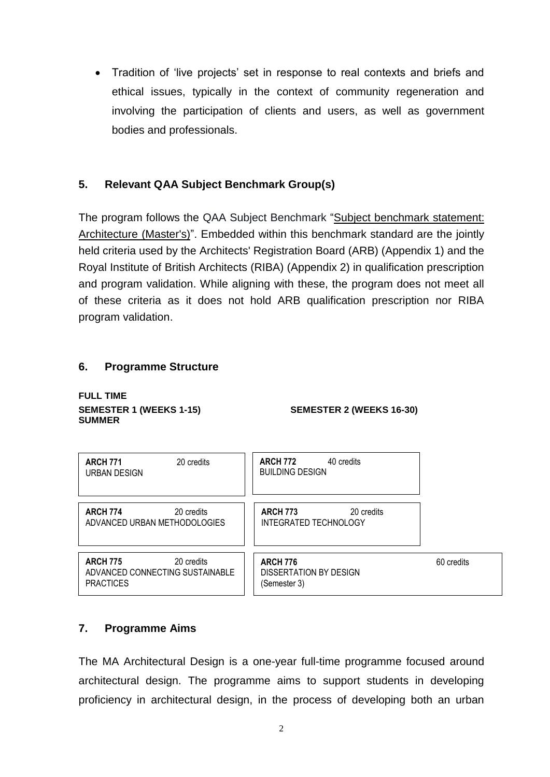Tradition of 'live projects' set in response to real contexts and briefs and ethical issues, typically in the context of community regeneration and involving the participation of clients and users, as well as government bodies and professionals.

# **5. Relevant QAA Subject Benchmark Group(s)**

The program follows the QAA Subject Benchmark "Subject [benchmark](https://www.qaa.ac.uk/docs/qaa/subject-benchmark-statements/subject-benchmark-statement-architecture-masters.pdf?sfvrsn=5697f681_14) statement: [Architecture](https://www.qaa.ac.uk/docs/qaa/subject-benchmark-statements/subject-benchmark-statement-architecture-masters.pdf?sfvrsn=5697f681_14) (Master's)". Embedded within this benchmark standard are the jointly held criteria used by the Architects' Registration Board (ARB) (Appendix 1) and the Royal Institute of British Architects (RIBA) (Appendix 2) in qualification prescription and program validation. While aligning with these, the program does not meet all of these criteria as it does not hold ARB qualification prescription nor RIBA program validation.

#### **6. Programme Structure**

**FULL TIME SUMMER** 

**SEMESTER 1 (WEEKS 1-15) SEMESTER 2 (WEEKS 16-30)** 

| 20 credits<br><b>ARCH 771</b><br>URBAN DESIGN                                        | <b>ARCH 772</b><br>40 credits<br><b>BUILDING DESIGN</b>   |            |
|--------------------------------------------------------------------------------------|-----------------------------------------------------------|------------|
| <b>ARCH 774</b><br>20 credits<br>ADVANCED URBAN METHODOLOGIES                        | <b>ARCH 773</b><br>20 credits<br>INTEGRATED TECHNOLOGY    |            |
| <b>ARCH 775</b><br>20 credits<br>ADVANCED CONNECTING SUSTAINABLE<br><b>PRACTICES</b> | <b>ARCH 776</b><br>DISSERTATION BY DESIGN<br>(Semester 3) | 60 credits |

# **7. Programme Aims**

The MA Architectural Design is a one-year full-time programme focused around architectural design. The programme aims to support students in developing proficiency in architectural design, in the process of developing both an urban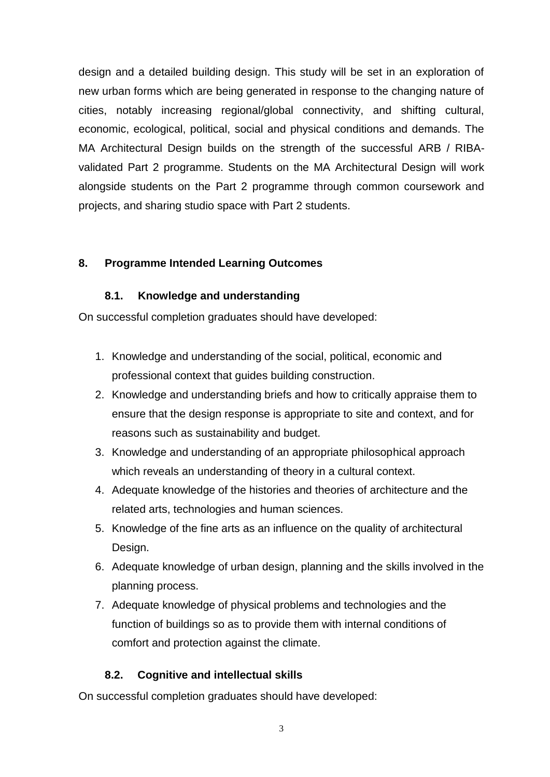design and a detailed building design. This study will be set in an exploration of new urban forms which are being generated in response to the changing nature of cities, notably increasing regional/global connectivity, and shifting cultural, economic, ecological, political, social and physical conditions and demands. The MA Architectural Design builds on the strength of the successful ARB / RIBAvalidated Part 2 programme. Students on the MA Architectural Design will work alongside students on the Part 2 programme through common coursework and projects, and sharing studio space with Part 2 students.

#### **8. Programme Intended Learning Outcomes**

#### **8.1. Knowledge and understanding**

On successful completion graduates should have developed:

- 1. Knowledge and understanding of the social, political, economic and professional context that guides building construction.
- 2. Knowledge and understanding briefs and how to critically appraise them to ensure that the design response is appropriate to site and context, and for reasons such as sustainability and budget.
- 3. Knowledge and understanding of an appropriate philosophical approach which reveals an understanding of theory in a cultural context.
- 4. Adequate knowledge of the histories and theories of architecture and the related arts, technologies and human sciences.
- 5. Knowledge of the fine arts as an influence on the quality of architectural Design.
- 6. Adequate knowledge of urban design, planning and the skills involved in the planning process.
- 7. Adequate knowledge of physical problems and technologies and the function of buildings so as to provide them with internal conditions of comfort and protection against the climate.

#### **8.2. Cognitive and intellectual skills**

On successful completion graduates should have developed: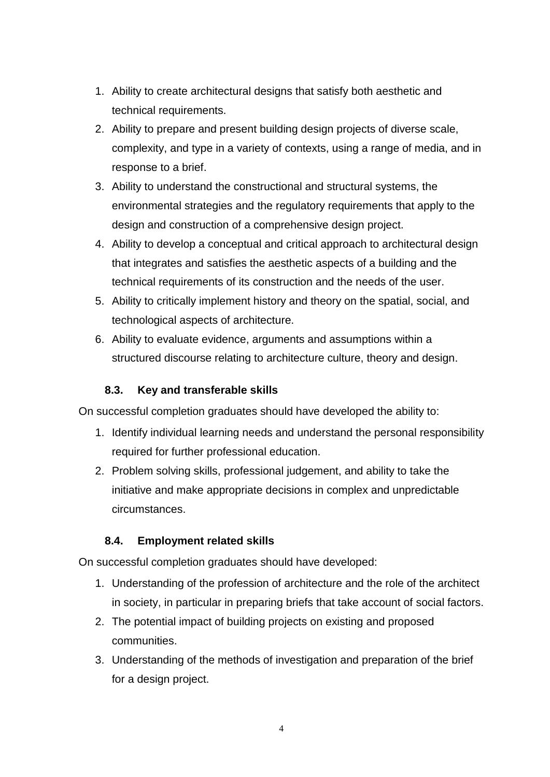- 1. Ability to create architectural designs that satisfy both aesthetic and technical requirements.
- 2. Ability to prepare and present building design projects of diverse scale, complexity, and type in a variety of contexts, using a range of media, and in response to a brief.
- 3. Ability to understand the constructional and structural systems, the environmental strategies and the regulatory requirements that apply to the design and construction of a comprehensive design project.
- 4. Ability to develop a conceptual and critical approach to architectural design that integrates and satisfies the aesthetic aspects of a building and the technical requirements of its construction and the needs of the user.
- 5. Ability to critically implement history and theory on the spatial, social, and technological aspects of architecture.
- 6. Ability to evaluate evidence, arguments and assumptions within a structured discourse relating to architecture culture, theory and design.

### **8.3. Key and transferable skills**

On successful completion graduates should have developed the ability to:

- 1. Identify individual learning needs and understand the personal responsibility required for further professional education.
- 2. Problem solving skills, professional judgement, and ability to take the initiative and make appropriate decisions in complex and unpredictable circumstances.

#### **8.4. Employment related skills**

On successful completion graduates should have developed:

- 1. Understanding of the profession of architecture and the role of the architect in society, in particular in preparing briefs that take account of social factors.
- 2. The potential impact of building projects on existing and proposed communities.
- 3. Understanding of the methods of investigation and preparation of the brief for a design project.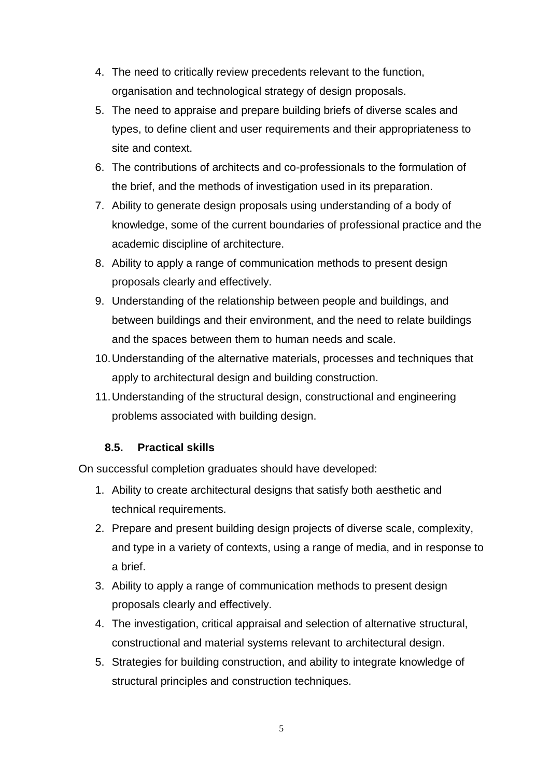- 4. The need to critically review precedents relevant to the function, organisation and technological strategy of design proposals.
- 5. The need to appraise and prepare building briefs of diverse scales and types, to define client and user requirements and their appropriateness to site and context.
- 6. The contributions of architects and co-professionals to the formulation of the brief, and the methods of investigation used in its preparation.
- 7. Ability to generate design proposals using understanding of a body of knowledge, some of the current boundaries of professional practice and the academic discipline of architecture.
- 8. Ability to apply a range of communication methods to present design proposals clearly and effectively.
- 9. Understanding of the relationship between people and buildings, and between buildings and their environment, and the need to relate buildings and the spaces between them to human needs and scale.
- 10.Understanding of the alternative materials, processes and techniques that apply to architectural design and building construction.
- 11.Understanding of the structural design, constructional and engineering problems associated with building design.

#### **8.5. Practical skills**

On successful completion graduates should have developed:

- 1. Ability to create architectural designs that satisfy both aesthetic and technical requirements.
- 2. Prepare and present building design projects of diverse scale, complexity, and type in a variety of contexts, using a range of media, and in response to a brief.
- 3. Ability to apply a range of communication methods to present design proposals clearly and effectively.
- 4. The investigation, critical appraisal and selection of alternative structural, constructional and material systems relevant to architectural design.
- 5. Strategies for building construction, and ability to integrate knowledge of structural principles and construction techniques.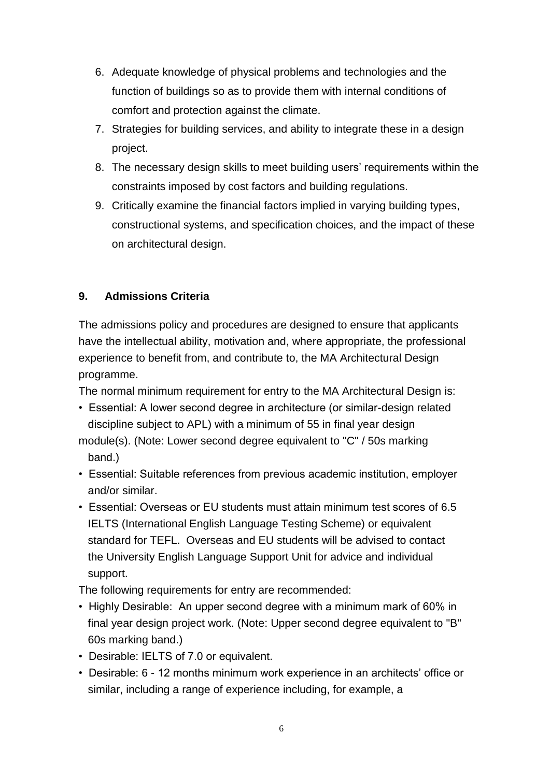- 6. Adequate knowledge of physical problems and technologies and the function of buildings so as to provide them with internal conditions of comfort and protection against the climate.
- 7. Strategies for building services, and ability to integrate these in a design project.
- 8. The necessary design skills to meet building users' requirements within the constraints imposed by cost factors and building regulations.
- 9. Critically examine the financial factors implied in varying building types, constructional systems, and specification choices, and the impact of these on architectural design.

### **9. Admissions Criteria**

The admissions policy and procedures are designed to ensure that applicants have the intellectual ability, motivation and, where appropriate, the professional experience to benefit from, and contribute to, the MA Architectural Design programme.

The normal minimum requirement for entry to the MA Architectural Design is:

- Essential: A lower second degree in architecture (or similar-design related discipline subject to APL) with a minimum of 55 in final year design module(s). (Note: Lower second degree equivalent to "C" / 50s marking band.)
- Essential: Suitable references from previous academic institution, employer and/or similar.
- Essential: Overseas or EU students must attain minimum test scores of 6.5 IELTS (International English Language Testing Scheme) or equivalent standard for TEFL. Overseas and EU students will be advised to contact the University English Language Support Unit for advice and individual support.

The following requirements for entry are recommended:

- Highly Desirable: An upper second degree with a minimum mark of 60% in final year design project work. (Note: Upper second degree equivalent to "B" 60s marking band.)
- Desirable: IELTS of 7.0 or equivalent.
- Desirable: 6 12 months minimum work experience in an architects' office or similar, including a range of experience including, for example, a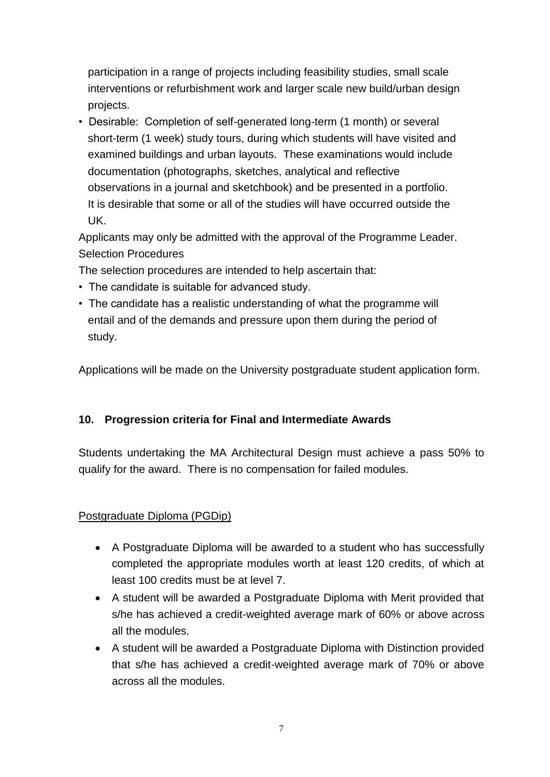participation in a range of projects including feasibility studies, small scale interventions or refurbishment work and larger scale new build/urban design projects.

• Desirable: Completion of self-generated long-term (1 month) or several short-term (1 week) study tours, during which students will have visited and examined buildings and urban layouts. These examinations would include documentation (photographs, sketches, analytical and reflective observations in a journal and sketchbook) and be presented in a portfolio. It is desirable that some or all of the studies will have occurred outside the UK.

Applicants may only be admitted with the approval of the Programme Leader. Selection Procedures

The selection procedures are intended to help ascertain that:

- The candidate is suitable for advanced study.
- The candidate has a realistic understanding of what the programme will entail and of the demands and pressure upon them during the period of study.

Applications will be made on the University postgraduate student application form.

# **10. Progression criteria for Final and Intermediate Awards**

Students undertaking the MA Architectural Design must achieve a pass 50% to qualify for the award. There is no compensation for failed modules.

# Postgraduate Diploma (PGDip)

- A Postgraduate Diploma will be awarded to a student who has successfully completed the appropriate modules worth at least 120 credits, of which at least 100 credits must be at level 7.
- A student will be awarded a Postgraduate Diploma with Merit provided that s/he has achieved a credit-weighted average mark of 60% or above across all the modules.
- A student will be awarded a Postgraduate Diploma with Distinction provided that s/he has achieved a credit-weighted average mark of 70% or above across all the modules.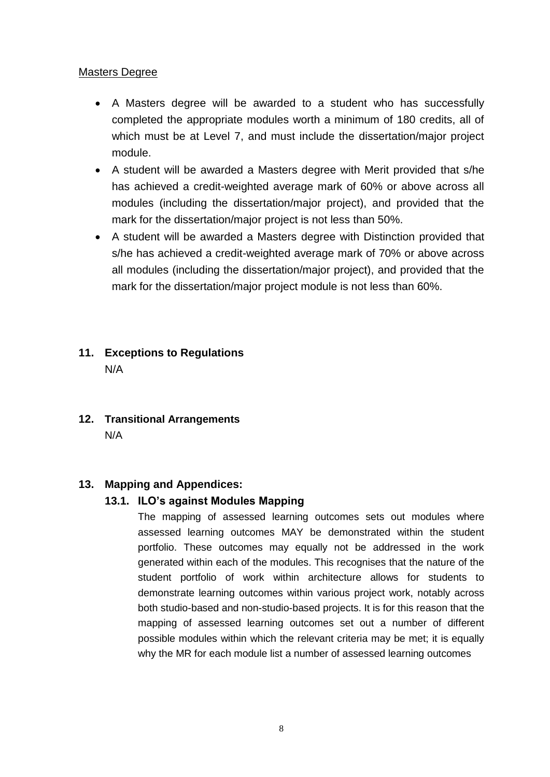#### Masters Degree

- A Masters degree will be awarded to a student who has successfully completed the appropriate modules worth a minimum of 180 credits, all of which must be at Level 7, and must include the dissertation/major project module.
- A student will be awarded a Masters degree with Merit provided that s/he has achieved a credit-weighted average mark of 60% or above across all modules (including the dissertation/major project), and provided that the mark for the dissertation/major project is not less than 50%.
- A student will be awarded a Masters degree with Distinction provided that s/he has achieved a credit-weighted average mark of 70% or above across all modules (including the dissertation/major project), and provided that the mark for the dissertation/major project module is not less than 60%.

# **11. Exceptions to Regulations** N/A

**12. Transitional Arrangements**  N/A

#### **13. Mapping and Appendices:**

#### **13.1. ILO's against Modules Mapping**

The mapping of assessed learning outcomes sets out modules where assessed learning outcomes MAY be demonstrated within the student portfolio. These outcomes may equally not be addressed in the work generated within each of the modules. This recognises that the nature of the student portfolio of work within architecture allows for students to demonstrate learning outcomes within various project work, notably across both studio-based and non-studio-based projects. It is for this reason that the mapping of assessed learning outcomes set out a number of different possible modules within which the relevant criteria may be met; it is equally why the MR for each module list a number of assessed learning outcomes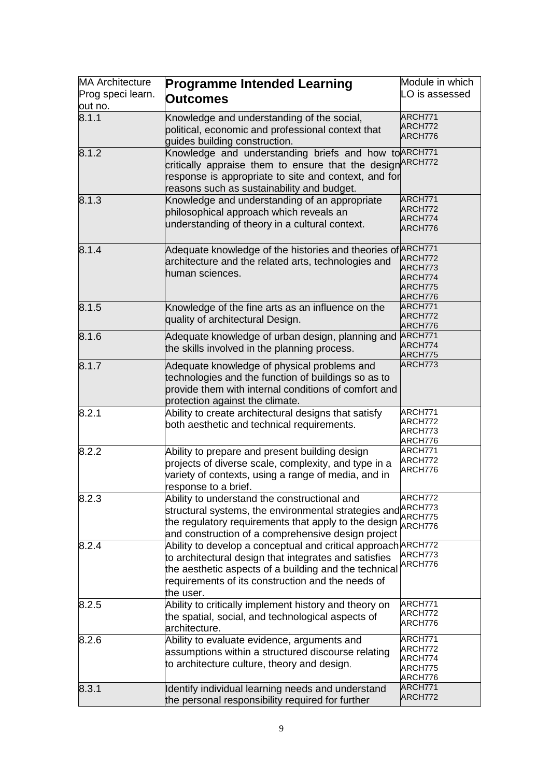| <b>MA</b> Architecture<br>Prog speci learn.<br>out no. | <b>Programme Intended Learning</b><br><b>Outcomes</b>                                                                                                                                                                                             | Module in which<br>LO is assessed                   |
|--------------------------------------------------------|---------------------------------------------------------------------------------------------------------------------------------------------------------------------------------------------------------------------------------------------------|-----------------------------------------------------|
| 8.1.1                                                  | Knowledge and understanding of the social,<br>political, economic and professional context that<br>guides building construction.                                                                                                                  | ARCH771<br>ARCH772<br>ARCH776                       |
| 8.1.2                                                  | Knowledge and understanding briefs and how to ARCH771<br>critically appraise them to ensure that the design <sup>ARCH772</sup><br>response is appropriate to site and context, and for<br>reasons such as sustainability and budget.              |                                                     |
| 8.1.3                                                  | Knowledge and understanding of an appropriate<br>philosophical approach which reveals an<br>understanding of theory in a cultural context.                                                                                                        | ARCH771<br>ARCH772<br>ARCH774<br>ARCH776            |
| 8.1.4                                                  | Adequate knowledge of the histories and theories of <b>ARCH771</b><br>architecture and the related arts, technologies and<br>human sciences.                                                                                                      | ARCH772<br>ARCH773<br>ARCH774<br>ARCH775<br>ARCH776 |
| 8.1.5                                                  | Knowledge of the fine arts as an influence on the<br>quality of architectural Design.                                                                                                                                                             | ARCH771<br>ARCH772<br>ARCH776                       |
| 8.1.6                                                  | Adequate knowledge of urban design, planning and<br>the skills involved in the planning process.                                                                                                                                                  | ARCH771<br>ARCH774<br>ARCH775                       |
| 8.1.7                                                  | Adequate knowledge of physical problems and<br>technologies and the function of buildings so as to<br>provide them with internal conditions of comfort and<br>protection against the climate.                                                     | ARCH773                                             |
| 8.2.1                                                  | Ability to create architectural designs that satisfy<br>both aesthetic and technical requirements.                                                                                                                                                | ARCH771<br>ARCH772<br>ARCH773<br>ARCH776            |
| 8.2.2                                                  | Ability to prepare and present building design<br>projects of diverse scale, complexity, and type in a<br>variety of contexts, using a range of media, and in<br>response to a brief.                                                             | ARCH771<br>ARCH772<br>ARCH776                       |
| 8.2.3                                                  | Ability to understand the constructional and<br>structural systems, the environmental strategies and <sup>ARCH773</sup><br>the regulatory requirements that apply to the design<br>and construction of a comprehensive design project             | ARCH772<br>ARCH775<br>ARCH776                       |
| 8.2.4                                                  | Ability to develop a conceptual and critical approach ARCH772<br>to architectural design that integrates and satisfies<br>the aesthetic aspects of a building and the technical<br>requirements of its construction and the needs of<br>the user. | ARCH773<br>ARCH776                                  |
| 8.2.5                                                  | Ability to critically implement history and theory on<br>the spatial, social, and technological aspects of<br>architecture.                                                                                                                       | ARCH771<br>ARCH772<br>ARCH776                       |
| 8.2.6                                                  | Ability to evaluate evidence, arguments and<br>assumptions within a structured discourse relating<br>to architecture culture, theory and design.                                                                                                  | ARCH771<br>ARCH772<br>ARCH774<br>ARCH775<br>ARCH776 |
| 8.3.1                                                  | Identify individual learning needs and understand<br>the personal responsibility required for further                                                                                                                                             | ARCH771<br>ARCH772                                  |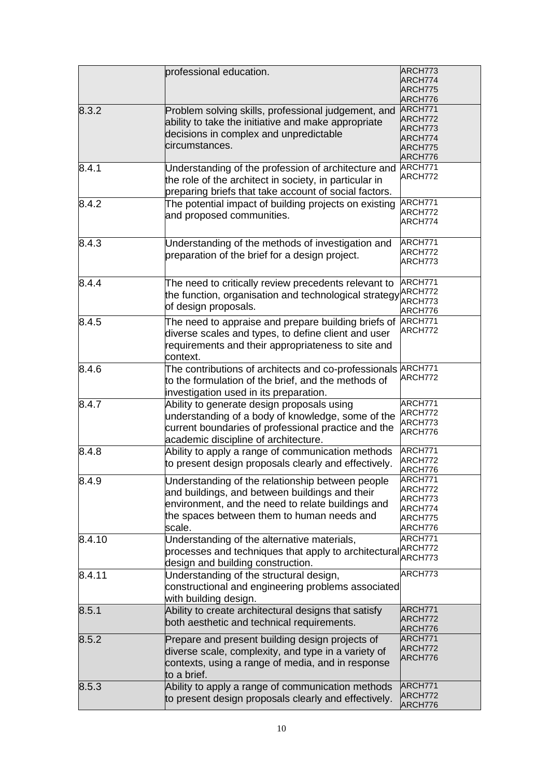|        | professional education.                                                  | ARCH773 |
|--------|--------------------------------------------------------------------------|---------|
|        |                                                                          | ARCH774 |
|        |                                                                          | ARCH775 |
|        |                                                                          | ARCH776 |
|        |                                                                          | ARCH771 |
| 8.3.2  | Problem solving skills, professional judgement, and                      |         |
|        | ability to take the initiative and make appropriate                      | ARCH772 |
|        | decisions in complex and unpredictable                                   | ARCH773 |
|        |                                                                          | ARCH774 |
|        | circumstances.                                                           | ARCH775 |
|        |                                                                          | ARCH776 |
| 8.4.1  | Understanding of the profession of architecture and                      | ARCH771 |
|        |                                                                          | ARCH772 |
|        | the role of the architect in society, in particular in                   |         |
|        | preparing briefs that take account of social factors.                    |         |
| 8.4.2  | The potential impact of building projects on existing                    | ARCH771 |
|        |                                                                          | ARCH772 |
|        | and proposed communities.                                                | ARCH774 |
|        |                                                                          |         |
|        |                                                                          |         |
| 8.4.3  | Understanding of the methods of investigation and                        | ARCH771 |
|        | preparation of the brief for a design project.                           | ARCH772 |
|        |                                                                          | ARCH773 |
|        |                                                                          |         |
| 8.4.4  | The need to critically review precedents relevant to                     | ARCH771 |
|        |                                                                          | ARCH772 |
|        | the function, organisation and technological strategy                    | ARCH773 |
|        | of design proposals.                                                     |         |
|        |                                                                          | ARCH776 |
| 8.4.5  | The need to appraise and prepare building briefs of                      | ARCH771 |
|        | diverse scales and types, to define client and user                      | ARCH772 |
|        |                                                                          |         |
|        | requirements and their appropriateness to site and                       |         |
|        | context.                                                                 |         |
| 8.4.6  | The contributions of architects and co-professionals <b>ARCH771</b>      |         |
|        |                                                                          | ARCH772 |
|        | to the formulation of the brief, and the methods of                      |         |
|        | investigation used in its preparation.                                   |         |
| 8.4.7  | Ability to generate design proposals using                               | ARCH771 |
|        |                                                                          | ARCH772 |
|        | understanding of a body of knowledge, some of the                        | ARCH773 |
|        | current boundaries of professional practice and the                      |         |
|        | academic discipline of architecture.                                     | ARCH776 |
|        |                                                                          |         |
| 8.4.8  | Ability to apply a range of communication methods                        | ARCH771 |
|        | to present design proposals clearly and effectively.                     | ARCH772 |
|        |                                                                          | ARCH776 |
| 8.4.9  | Understanding of the relationship between people                         | ARCH771 |
|        |                                                                          | ARCH772 |
|        | and buildings, and between buildings and their                           | ARCH773 |
|        | environment, and the need to relate buildings and                        | ARCH774 |
|        | the spaces between them to human needs and                               | ARCH775 |
|        |                                                                          |         |
|        | scale.                                                                   | ARCH776 |
| 8.4.10 | Understanding of the alternative materials,                              | ARCH771 |
|        | processes and techniques that apply to architectural <sup> ARCH772</sup> |         |
|        |                                                                          | ARCH773 |
|        | design and building construction.                                        |         |
| 8.4.11 | Understanding of the structural design,                                  | ARCH773 |
|        | constructional and engineering problems associated                       |         |
|        |                                                                          |         |
|        | with building design.                                                    |         |
| 8.5.1  | Ability to create architectural designs that satisfy                     | ARCH771 |
|        | both aesthetic and technical requirements.                               | ARCH772 |
|        |                                                                          | ARCH776 |
| 8.5.2  | Prepare and present building design projects of                          | ARCH771 |
|        |                                                                          | ARCH772 |
|        | diverse scale, complexity, and type in a variety of                      |         |
|        | contexts, using a range of media, and in response                        | ARCH776 |
|        |                                                                          |         |
|        | to a brief.                                                              |         |
| 8.5.3  | Ability to apply a range of communication methods                        | ARCH771 |
|        | to present design proposals clearly and effectively.                     | ARCH772 |
|        |                                                                          | ARCH776 |